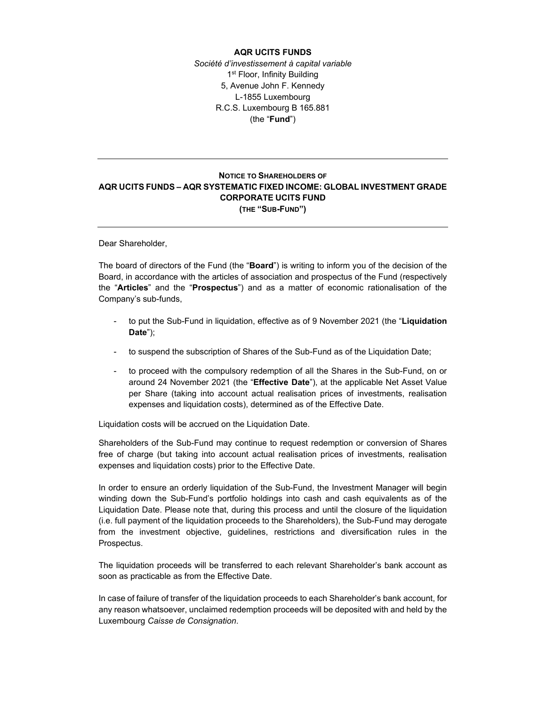## **AQR UCITS FUNDS**

*Société d'investissement à capital variable*  1<sup>st</sup> Floor, Infinity Building 5, Avenue John F. Kennedy L-1855 Luxembourg R.C.S. Luxembourg B 165.881 (the "**Fund**")

## **NOTICE TO SHAREHOLDERS OF AQR UCITS FUNDS – AQR SYSTEMATIC FIXED INCOME: GLOBAL INVESTMENT GRADE CORPORATE UCITS FUND (THE "SUB-FUND")**

Dear Shareholder,

The board of directors of the Fund (the "**Board**") is writing to inform you of the decision of the Board, in accordance with the articles of association and prospectus of the Fund (respectively the "**Articles**" and the "**Prospectus**") and as a matter of economic rationalisation of the Company's sub-funds,

- to put the Sub-Fund in liquidation, effective as of 9 November 2021 (the "**Liquidation Date**");
- to suspend the subscription of Shares of the Sub-Fund as of the Liquidation Date;
- to proceed with the compulsory redemption of all the Shares in the Sub-Fund, on or around 24 November 2021 (the "**Effective Date**"), at the applicable Net Asset Value per Share (taking into account actual realisation prices of investments, realisation expenses and liquidation costs), determined as of the Effective Date.

Liquidation costs will be accrued on the Liquidation Date.

Shareholders of the Sub-Fund may continue to request redemption or conversion of Shares free of charge (but taking into account actual realisation prices of investments, realisation expenses and liquidation costs) prior to the Effective Date.

In order to ensure an orderly liquidation of the Sub-Fund, the Investment Manager will begin winding down the Sub-Fund's portfolio holdings into cash and cash equivalents as of the Liquidation Date. Please note that, during this process and until the closure of the liquidation (i.e. full payment of the liquidation proceeds to the Shareholders), the Sub-Fund may derogate from the investment objective, guidelines, restrictions and diversification rules in the Prospectus.

The liquidation proceeds will be transferred to each relevant Shareholder's bank account as soon as practicable as from the Effective Date.

In case of failure of transfer of the liquidation proceeds to each Shareholder's bank account, for any reason whatsoever, unclaimed redemption proceeds will be deposited with and held by the Luxembourg *Caisse de Consignation*.